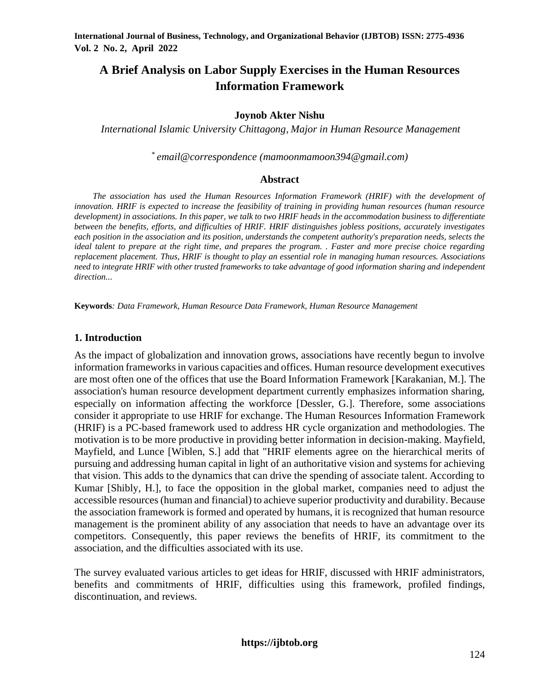# **A Brief Analysis on Labor Supply Exercises in the Human Resources Information Framework**

### **Joynob Akter Nishu**

*International Islamic University Chittagong, Major in Human Resource Management*

*\* email@correspondence (mamoonmamoon394@gmail.com)*

### **Abstract**

*The association has used the Human Resources Information Framework (HRIF) with the development of innovation. HRIF is expected to increase the feasibility of training in providing human resources (human resource development) in associations. In this paper, we talk to two HRIF heads in the accommodation business to differentiate between the benefits, efforts, and difficulties of HRIF. HRIF distinguishes jobless positions, accurately investigates each position in the association and its position, understands the competent authority's preparation needs, selects the ideal talent to prepare at the right time, and prepares the program. . Faster and more precise choice regarding replacement placement. Thus, HRIF is thought to play an essential role in managing human resources. Associations need to integrate HRIF with other trusted frameworks to take advantage of good information sharing and independent direction...*

**Keywords***: Data Framework, Human Resource Data Framework, Human Resource Management*

#### **1. Introduction**

As the impact of globalization and innovation grows, associations have recently begun to involve information frameworks in various capacities and offices. Human resource development executives are most often one of the offices that use the Board Information Framework [Karakanian, M.]. The association's human resource development department currently emphasizes information sharing, especially on information affecting the workforce [Dessler, G.]. Therefore, some associations consider it appropriate to use HRIF for exchange. The Human Resources Information Framework (HRIF) is a PC-based framework used to address HR cycle organization and methodologies. The motivation is to be more productive in providing better information in decision-making. Mayfield, Mayfield, and Lunce [Wiblen, S.] add that "HRIF elements agree on the hierarchical merits of pursuing and addressing human capital in light of an authoritative vision and systems for achieving that vision. This adds to the dynamics that can drive the spending of associate talent. According to Kumar [Shibly, H.], to face the opposition in the global market, companies need to adjust the accessible resources (human and financial) to achieve superior productivity and durability. Because the association framework is formed and operated by humans, it is recognized that human resource management is the prominent ability of any association that needs to have an advantage over its competitors. Consequently, this paper reviews the benefits of HRIF, its commitment to the association, and the difficulties associated with its use.

The survey evaluated various articles to get ideas for HRIF, discussed with HRIF administrators, benefits and commitments of HRIF, difficulties using this framework, profiled findings, discontinuation, and reviews.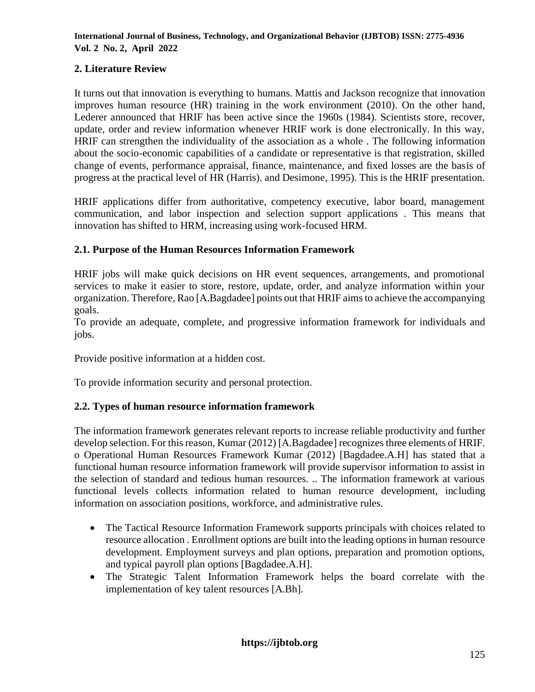# **2. Literature Review**

It turns out that innovation is everything to humans. Mattis and Jackson recognize that innovation improves human resource (HR) training in the work environment (2010). On the other hand, Lederer announced that HRIF has been active since the 1960s (1984). Scientists store, recover, update, order and review information whenever HRIF work is done electronically. In this way, HRIF can strengthen the individuality of the association as a whole . The following information about the socio-economic capabilities of a candidate or representative is that registration, skilled change of events, performance appraisal, finance, maintenance, and fixed losses are the basis of progress at the practical level of HR (Harris). and Desimone, 1995). This is the HRIF presentation.

HRIF applications differ from authoritative, competency executive, labor board, management communication, and labor inspection and selection support applications . This means that innovation has shifted to HRM, increasing using work-focused HRM.

# **2.1. Purpose of the Human Resources Information Framework**

HRIF jobs will make quick decisions on HR event sequences, arrangements, and promotional services to make it easier to store, restore, update, order, and analyze information within your organization. Therefore, Rao [A.Bagdadee] points out that HRIF aims to achieve the accompanying goals.

To provide an adequate, complete, and progressive information framework for individuals and jobs.

Provide positive information at a hidden cost.

To provide information security and personal protection.

# **2.2. Types of human resource information framework**

The information framework generates relevant reports to increase reliable productivity and further develop selection. For this reason, Kumar (2012) [A.Bagdadee] recognizes three elements of HRIF. o Operational Human Resources Framework Kumar (2012) [Bagdadee.A.H] has stated that a functional human resource information framework will provide supervisor information to assist in the selection of standard and tedious human resources. .. The information framework at various functional levels collects information related to human resource development, including information on association positions, workforce, and administrative rules.

- The Tactical Resource Information Framework supports principals with choices related to resource allocation . Enrollment options are built into the leading options in human resource development. Employment surveys and plan options, preparation and promotion options, and typical payroll plan options [Bagdadee.A.H].
- The Strategic Talent Information Framework helps the board correlate with the implementation of key talent resources [A.Bh].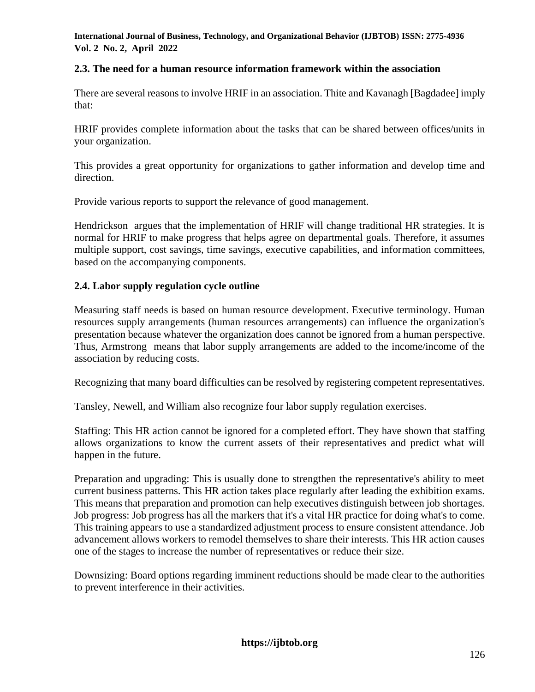# **2.3. The need for a human resource information framework within the association**

There are several reasons to involve HRIF in an association. Thite and Kavanagh [Bagdadee] imply that:

HRIF provides complete information about the tasks that can be shared between offices/units in your organization.

This provides a great opportunity for organizations to gather information and develop time and direction.

Provide various reports to support the relevance of good management.

Hendrickson argues that the implementation of HRIF will change traditional HR strategies. It is normal for HRIF to make progress that helps agree on departmental goals. Therefore, it assumes multiple support, cost savings, time savings, executive capabilities, and information committees, based on the accompanying components.

# **2.4. Labor supply regulation cycle outline**

Measuring staff needs is based on human resource development. Executive terminology. Human resources supply arrangements (human resources arrangements) can influence the organization's presentation because whatever the organization does cannot be ignored from a human perspective. Thus, Armstrong means that labor supply arrangements are added to the income/income of the association by reducing costs.

Recognizing that many board difficulties can be resolved by registering competent representatives.

Tansley, Newell, and William also recognize four labor supply regulation exercises.

Staffing: This HR action cannot be ignored for a completed effort. They have shown that staffing allows organizations to know the current assets of their representatives and predict what will happen in the future.

Preparation and upgrading: This is usually done to strengthen the representative's ability to meet current business patterns. This HR action takes place regularly after leading the exhibition exams. This means that preparation and promotion can help executives distinguish between job shortages. Job progress: Job progress has all the markers that it's a vital HR practice for doing what's to come. This training appears to use a standardized adjustment process to ensure consistent attendance. Job advancement allows workers to remodel themselves to share their interests. This HR action causes one of the stages to increase the number of representatives or reduce their size.

Downsizing: Board options regarding imminent reductions should be made clear to the authorities to prevent interference in their activities.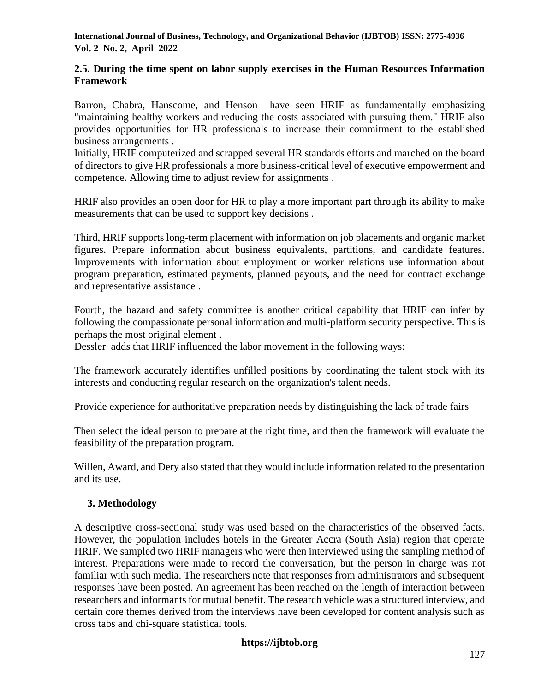### **2.5. During the time spent on labor supply exercises in the Human Resources Information Framework**

Barron, Chabra, Hanscome, and Henson have seen HRIF as fundamentally emphasizing "maintaining healthy workers and reducing the costs associated with pursuing them." HRIF also provides opportunities for HR professionals to increase their commitment to the established business arrangements .

Initially, HRIF computerized and scrapped several HR standards efforts and marched on the board of directors to give HR professionals a more business-critical level of executive empowerment and competence. Allowing time to adjust review for assignments .

HRIF also provides an open door for HR to play a more important part through its ability to make measurements that can be used to support key decisions .

Third, HRIF supports long-term placement with information on job placements and organic market figures. Prepare information about business equivalents, partitions, and candidate features. Improvements with information about employment or worker relations use information about program preparation, estimated payments, planned payouts, and the need for contract exchange and representative assistance .

Fourth, the hazard and safety committee is another critical capability that HRIF can infer by following the compassionate personal information and multi-platform security perspective. This is perhaps the most original element .

Dessler adds that HRIF influenced the labor movement in the following ways:

The framework accurately identifies unfilled positions by coordinating the talent stock with its interests and conducting regular research on the organization's talent needs.

Provide experience for authoritative preparation needs by distinguishing the lack of trade fairs

Then select the ideal person to prepare at the right time, and then the framework will evaluate the feasibility of the preparation program.

Willen, Award, and Dery also stated that they would include information related to the presentation and its use.

# **3. Methodology**

A descriptive cross-sectional study was used based on the characteristics of the observed facts. However, the population includes hotels in the Greater Accra (South Asia) region that operate HRIF. We sampled two HRIF managers who were then interviewed using the sampling method of interest. Preparations were made to record the conversation, but the person in charge was not familiar with such media. The researchers note that responses from administrators and subsequent responses have been posted. An agreement has been reached on the length of interaction between researchers and informants for mutual benefit. The research vehicle was a structured interview, and certain core themes derived from the interviews have been developed for content analysis such as cross tabs and chi-square statistical tools.

# **https://ijbtob.org**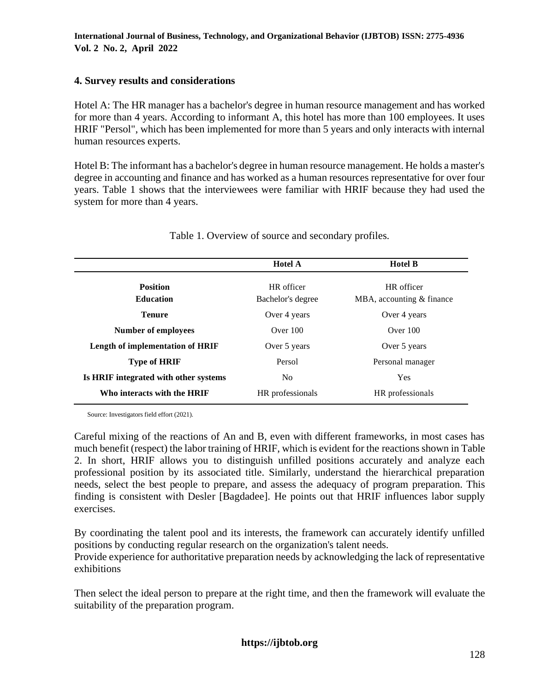# **4. Survey results and considerations**

Hotel A: The HR manager has a bachelor's degree in human resource management and has worked for more than 4 years. According to informant A, this hotel has more than 100 employees. It uses HRIF "Persol", which has been implemented for more than 5 years and only interacts with internal human resources experts.

Hotel B: The informant has a bachelor's degree in human resource management. He holds a master's degree in accounting and finance and has worked as a human resources representative for over four years. Table 1 shows that the interviewees were familiar with HRIF because they had used the system for more than 4 years.

|                                         | <b>Hotel A</b>    | <b>Hotel B</b>            |  |
|-----------------------------------------|-------------------|---------------------------|--|
| <b>Position</b>                         | HR officer        | HR officer                |  |
| <b>Education</b>                        | Bachelor's degree | MBA, accounting & finance |  |
| <b>Tenure</b>                           | Over 4 years      | Over 4 years              |  |
| <b>Number of employees</b>              | Over $100$        | Over $100$                |  |
| <b>Length of implementation of HRIF</b> | Over 5 years      | Over 5 years              |  |
| <b>Type of HRIF</b>                     | Persol            | Personal manager          |  |
| Is HRIF integrated with other systems   | N <sub>0</sub>    | Yes                       |  |
| Who interacts with the HRIF             | HR professionals  | HR professionals          |  |

Table 1. Overview of source and secondary profiles.

Source: Investigators field effort (2021).

Careful mixing of the reactions of An and B, even with different frameworks, in most cases has much benefit (respect) the labor training of HRIF, which is evident for the reactions shown in Table 2. In short, HRIF allows you to distinguish unfilled positions accurately and analyze each professional position by its associated title. Similarly, understand the hierarchical preparation needs, select the best people to prepare, and assess the adequacy of program preparation. This finding is consistent with Desler [Bagdadee]. He points out that HRIF influences labor supply exercises.

By coordinating the talent pool and its interests, the framework can accurately identify unfilled positions by conducting regular research on the organization's talent needs.

Provide experience for authoritative preparation needs by acknowledging the lack of representative exhibitions

Then select the ideal person to prepare at the right time, and then the framework will evaluate the suitability of the preparation program.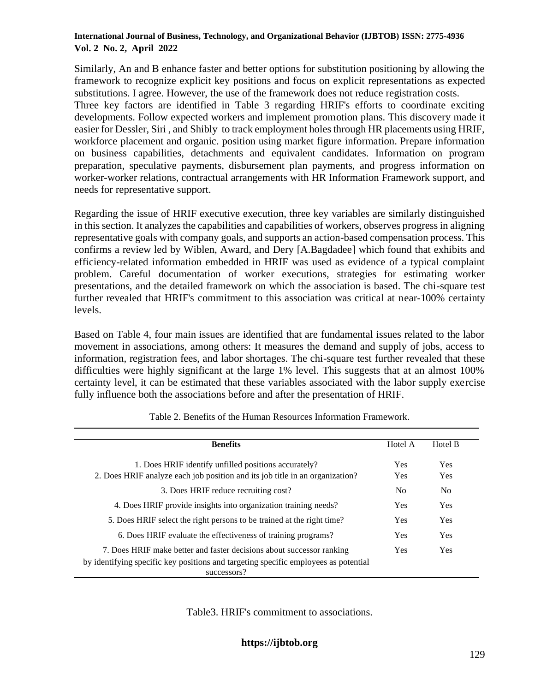Similarly, An and B enhance faster and better options for substitution positioning by allowing the framework to recognize explicit key positions and focus on explicit representations as expected substitutions. I agree. However, the use of the framework does not reduce registration costs.

Three key factors are identified in Table 3 regarding HRIF's efforts to coordinate exciting developments. Follow expected workers and implement promotion plans. This discovery made it easier for Dessler, Siri , and Shibly to track employment holes through HR placements using HRIF, workforce placement and organic. position using market figure information. Prepare information on business capabilities, detachments and equivalent candidates. Information on program preparation, speculative payments, disbursement plan payments, and progress information on worker-worker relations, contractual arrangements with HR Information Framework support, and needs for representative support.

Regarding the issue of HRIF executive execution, three key variables are similarly distinguished in this section. It analyzes the capabilities and capabilities of workers, observes progress in aligning representative goals with company goals, and supports an action-based compensation process. This confirms a review led by Wiblen, Award, and Dery [A.Bagdadee] which found that exhibits and efficiency-related information embedded in HRIF was used as evidence of a typical complaint problem. Careful documentation of worker executions, strategies for estimating worker presentations, and the detailed framework on which the association is based. The chi-square test further revealed that HRIF's commitment to this association was critical at near-100% certainty levels.

Based on Table 4, four main issues are identified that are fundamental issues related to the labor movement in associations, among others: It measures the demand and supply of jobs, access to information, registration fees, and labor shortages. The chi-square test further revealed that these difficulties were highly significant at the large 1% level. This suggests that at an almost 100% certainty level, it can be estimated that these variables associated with the labor supply exercise fully influence both the associations before and after the presentation of HRIF.

| <b>Benefits</b>                                                                     | Hotel A        | Hotel B        |  |
|-------------------------------------------------------------------------------------|----------------|----------------|--|
|                                                                                     |                |                |  |
| 1. Does HRIF identify unfilled positions accurately?                                | <b>Yes</b>     | Yes            |  |
| 2. Does HRIF analyze each job position and its job title in an organization?        | <b>Yes</b>     | <b>Yes</b>     |  |
| 3. Does HRIF reduce recruiting cost?                                                | N <sub>0</sub> | N <sub>0</sub> |  |
| 4. Does HRIF provide insights into organization training needs?                     | <b>Yes</b>     | <b>Yes</b>     |  |
| 5. Does HRIF select the right persons to be trained at the right time?              |                | <b>Yes</b>     |  |
| 6. Does HRIF evaluate the effectiveness of training programs?                       |                | <b>Yes</b>     |  |
| 7. Does HRIF make better and faster decisions about successor ranking               |                | <b>Yes</b>     |  |
| by identifying specific key positions and targeting specific employees as potential |                |                |  |
| successors?                                                                         |                |                |  |

Table 2. Benefits of the Human Resources Information Framework.

Table3. HRIF's commitment to associations.

**https://ijbtob.org**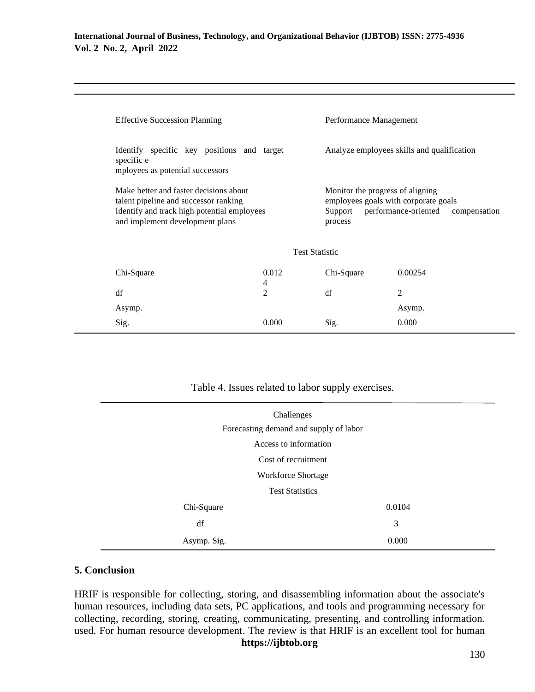|                                                                                              | <b>Effective Succession Planning</b>                                                                                                                              |            | Performance Management                                                                                                              |  |  |  |
|----------------------------------------------------------------------------------------------|-------------------------------------------------------------------------------------------------------------------------------------------------------------------|------------|-------------------------------------------------------------------------------------------------------------------------------------|--|--|--|
| Identify specific key positions and target<br>specific e<br>mployees as potential successors |                                                                                                                                                                   |            | Analyze employees skills and qualification                                                                                          |  |  |  |
|                                                                                              | Make better and faster decisions about<br>talent pipeline and successor ranking<br>Identify and track high potential employees<br>and implement development plans |            | Monitor the progress of aligning<br>employees goals with corporate goals<br>Support performance-oriented<br>compensation<br>process |  |  |  |
| <b>Test Statistic</b>                                                                        |                                                                                                                                                                   |            |                                                                                                                                     |  |  |  |
| Chi-Square                                                                                   | 0.012<br>4                                                                                                                                                        | Chi-Square | 0.00254                                                                                                                             |  |  |  |
| df                                                                                           | $\overline{2}$                                                                                                                                                    | df         | 2                                                                                                                                   |  |  |  |
| Asymp.                                                                                       |                                                                                                                                                                   |            | Asymp.                                                                                                                              |  |  |  |
| Sig.                                                                                         | 0.000                                                                                                                                                             | Sig.       | 0.000                                                                                                                               |  |  |  |
|                                                                                              |                                                                                                                                                                   |            |                                                                                                                                     |  |  |  |

| Table 4. Issues related to labor supply exercises. |        |  |
|----------------------------------------------------|--------|--|
| Challenges                                         |        |  |
| Forecasting demand and supply of labor             |        |  |
| Access to information                              |        |  |
| Cost of recruitment                                |        |  |
| Workforce Shortage                                 |        |  |
| <b>Test Statistics</b>                             |        |  |
| Chi-Square                                         | 0.0104 |  |
| df                                                 | 3      |  |
| Asymp. Sig.                                        | 0.000  |  |

# Table 4. Issues related to labor supply exercises.

### **5. Conclusion**

HRIF is responsible for collecting, storing, and disassembling information about the associate's human resources, including data sets, PC applications, and tools and programming necessary for collecting, recording, storing, creating, communicating, presenting, and controlling information. used. For human resource development. The review is that HRIF is an excellent tool for human

### **https://ijbtob.org**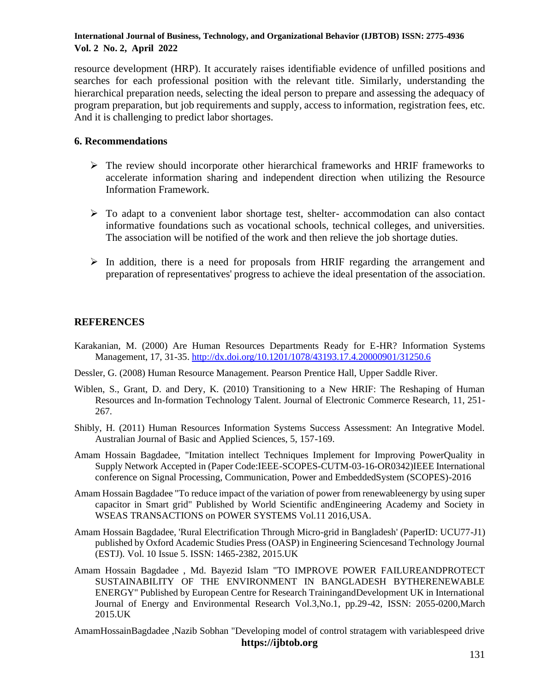resource development (HRP). It accurately raises identifiable evidence of unfilled positions and searches for each professional position with the relevant title. Similarly, understanding the hierarchical preparation needs, selecting the ideal person to prepare and assessing the adequacy of program preparation, but job requirements and supply, access to information, registration fees, etc. And it is challenging to predict labor shortages.

### **6. Recommendations**

- ➢ The review should incorporate other hierarchical frameworks and HRIF frameworks to accelerate information sharing and independent direction when utilizing the Resource Information Framework.
- $\triangleright$  To adapt to a convenient labor shortage test, shelter-accommodation can also contact informative foundations such as vocational schools, technical colleges, and universities. The association will be notified of the work and then relieve the job shortage duties.
- $\triangleright$  In addition, there is a need for proposals from HRIF regarding the arrangement and preparation of representatives' progress to achieve the ideal presentation of the association.

# **REFERENCES**

- Karakanian, M. (2000) Are Human Resources Departments Ready for E-HR? Information Systems Management, 17, 31-35[. http://dx.doi.org/10.1201/1078/43193.17.4.20000901/31250.6](http://dx.doi.org/10.1201/1078/43193.17.4.20000901/31250.6)
- Dessler, G. (2008) Human Resource Management. Pearson Prentice Hall, Upper Saddle River.
- Wiblen, S., Grant, D. and Dery, K. (2010) Transitioning to a New HRIF: The Reshaping of Human Resources and In-formation Technology Talent. Journal of Electronic Commerce Research, 11, 251- 267.
- Shibly, H. (2011) Human Resources Information Systems Success Assessment: An Integrative Model. Australian Journal of Basic and Applied Sciences, 5, 157-169.
- Amam Hossain Bagdadee, "Imitation intellect Techniques Implement for Improving PowerQuality in Supply Network Accepted in (Paper Code:IEEE-SCOPES-CUTM-03-16-OR0342)IEEE International conference on Signal Processing, Communication, Power and EmbeddedSystem (SCOPES)-2016
- Amam Hossain Bagdadee "To reduce impact of the variation of power from renewableenergy by using super capacitor in Smart grid" Published by World Scientific andEngineering Academy and Society in WSEAS TRANSACTIONS on POWER SYSTEMS Vol.11 2016,USA.
- Amam Hossain Bagdadee, 'Rural Electrification Through Micro-grid in Bangladesh' (PaperID: UCU77-J1) published by Oxford Academic Studies Press (OASP) in Engineering Sciencesand Technology Journal (ESTJ). Vol. 10 Issue 5. ISSN: 1465-2382, 2015.UK
- Amam Hossain Bagdadee , Md. Bayezid Islam "TO IMPROVE POWER FAILUREANDPROTECT SUSTAINABILITY OF THE ENVIRONMENT IN BANGLADESH BYTHERENEWABLE ENERGY" Published by European Centre for Research TrainingandDevelopment UK in International Journal of Energy and Environmental Research Vol.3,No.1, pp.29-42, ISSN: 2055-0200,March 2015.UK
- **https://ijbtob.org** AmamHossainBagdadee ,Nazib Sobhan "Developing model of control stratagem with variablespeed drive